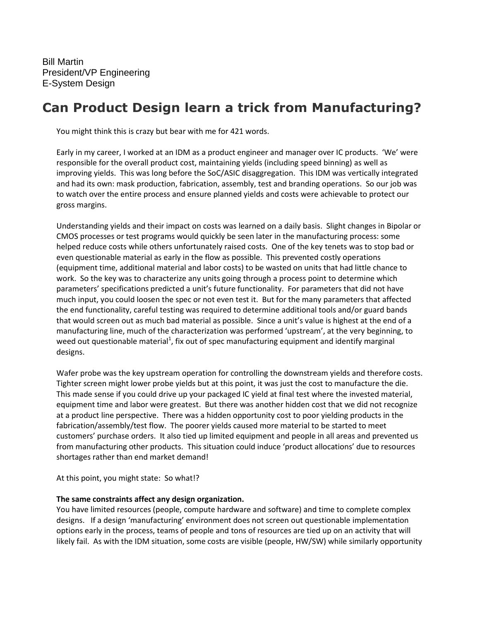Bill Martin President/VP Engineering E-System Design

## **Can Product Design learn a trick from Manufacturing?**

You might think this is crazy but bear with me for 421 words.

Early in my career, I worked at an IDM as a product engineer and manager over IC products. 'We' were responsible for the overall product cost, maintaining yields (including speed binning) as well as improving yields. This was long before the SoC/ASIC disaggregation. This IDM was vertically integrated and had its own: mask production, fabrication, assembly, test and branding operations. So our job was to watch over the entire process and ensure planned yields and costs were achievable to protect our gross margins.

Understanding yields and their impact on costs was learned on a daily basis. Slight changes in Bipolar or CMOS processes or test programs would quickly be seen later in the manufacturing process: some helped reduce costs while others unfortunately raised costs. One of the key tenets was to stop bad or even questionable material as early in the flow as possible. This prevented costly operations (equipment time, additional material and labor costs) to be wasted on units that had little chance to work. So the key was to characterize any units going through a process point to determine which parameters' specifications predicted a unit's future functionality. For parameters that did not have much input, you could loosen the spec or not even test it. But for the many parameters that affected the end functionality, careful testing was required to determine additional tools and/or guard bands that would screen out as much bad material as possible. Since a unit's value is highest at the end of a manufacturing line, much of the characterization was performed 'upstream', at the very beginning, to weed out questionable material<sup>1</sup>, fix out of spec manufacturing equipment and identify marginal designs.

Wafer probe was the key upstream operation for controlling the downstream yields and therefore costs. Tighter screen might lower probe yields but at this point, it was just the cost to manufacture the die. This made sense if you could drive up your packaged IC yield at final test where the invested material, equipment time and labor were greatest. But there was another hidden cost that we did not recognize at a product line perspective. There was a hidden opportunity cost to poor yielding products in the fabrication/assembly/test flow. The poorer yields caused more material to be started to meet customers' purchase orders. It also tied up limited equipment and people in all areas and prevented us from manufacturing other products. This situation could induce 'product allocations' due to resources shortages rather than end market demand!

At this point, you might state: So what!?

## **The same constraints affect any design organization.**

You have limited resources (people, compute hardware and software) and time to complete complex designs. If a design 'manufacturing' environment does not screen out questionable implementation options early in the process, teams of people and tons of resources are tied up on an activity that will likely fail. As with the IDM situation, some costs are visible (people, HW/SW) while similarly opportunity